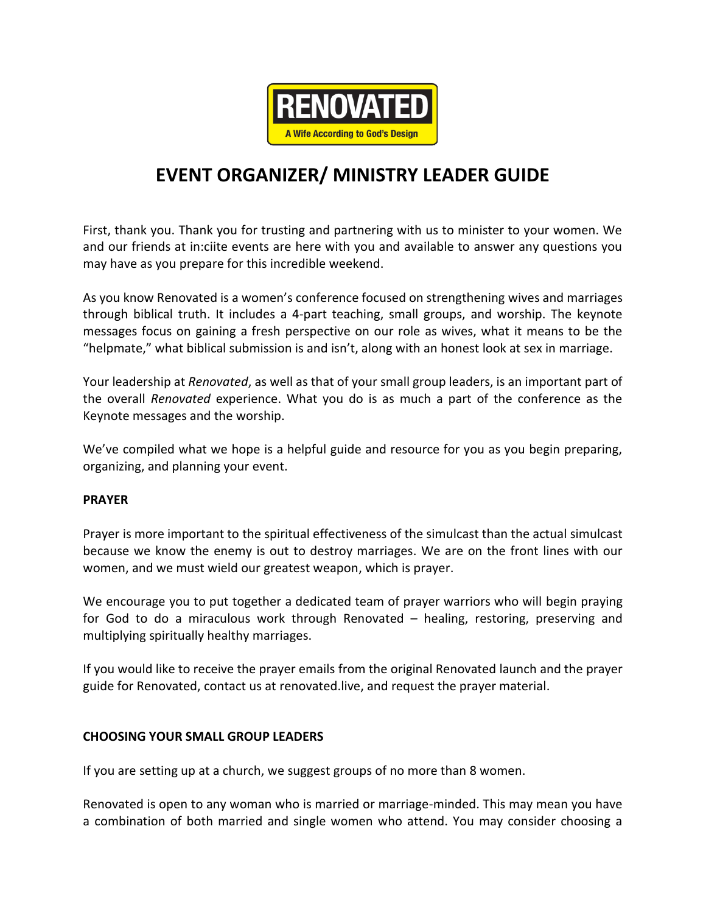

# **EVENT ORGANIZER/ MINISTRY LEADER GUIDE**

First, thank you. Thank you for trusting and partnering with us to minister to your women. We and our friends at in:ciite events are here with you and available to answer any questions you may have as you prepare for this incredible weekend.

As you know Renovated is a women's conference focused on strengthening wives and marriages through biblical truth. It includes a 4-part teaching, small groups, and worship. The keynote messages focus on gaining a fresh perspective on our role as wives, what it means to be the "helpmate," what biblical submission is and isn't, along with an honest look at sex in marriage.

Your leadership at *Renovated*, as well as that of your small group leaders, is an important part of the overall *Renovated* experience. What you do is as much a part of the conference as the Keynote messages and the worship.

We've compiled what we hope is a helpful guide and resource for you as you begin preparing, organizing, and planning your event.

## **PRAYER**

Prayer is more important to the spiritual effectiveness of the simulcast than the actual simulcast because we know the enemy is out to destroy marriages. We are on the front lines with our women, and we must wield our greatest weapon, which is prayer.

We encourage you to put together a dedicated team of prayer warriors who will begin praying for God to do a miraculous work through Renovated – healing, restoring, preserving and multiplying spiritually healthy marriages.

If you would like to receive the prayer emails from the original Renovated launch and the prayer guide for Renovated, contact us at renovated.live, and request the prayer material.

## **CHOOSING YOUR SMALL GROUP LEADERS**

If you are setting up at a church, we suggest groups of no more than 8 women.

Renovated is open to any woman who is married or marriage-minded. This may mean you have a combination of both married and single women who attend. You may consider choosing a